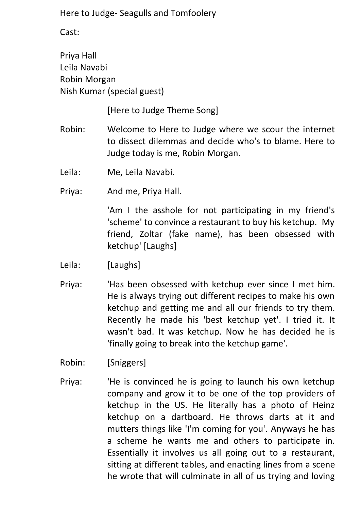Cast:

Priya Hall Leila Navabi Robin Morgan Nish Kumar (special guest)

[Here to Judge Theme Song]

- Robin: Welcome to Here to Judge where we scour the internet to dissect dilemmas and decide who's to blame. Here to Judge today is me, Robin Morgan.
- Leila: Me, Leila Navabi.
- Priya: And me, Priya Hall.

'Am I the asshole for not participating in my friend's 'scheme' to convince a restaurant to buy his ketchup. My friend, Zoltar (fake name), has been obsessed with ketchup' [Laughs]

- Leila: [Laughs]
- Priya: 'Has been obsessed with ketchup ever since I met him. He is always trying out different recipes to make his own ketchup and getting me and all our friends to try them. Recently he made his 'best ketchup yet'. I tried it. It wasn't bad. It was ketchup. Now he has decided he is 'finally going to break into the ketchup game'.
- Robin: [Sniggers]
- Priya: 'He is convinced he is going to launch his own ketchup company and grow it to be one of the top providers of ketchup in the US. He literally has a photo of Heinz ketchup on a dartboard. He throws darts at it and mutters things like 'I'm coming for you'. Anyways he has a scheme he wants me and others to participate in. Essentially it involves us all going out to a restaurant, sitting at different tables, and enacting lines from a scene he wrote that will culminate in all of us trying and loving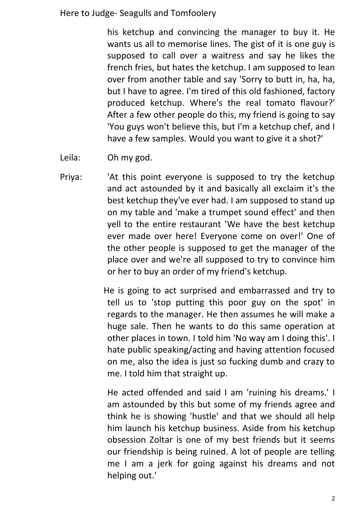his ketchup and convincing the manager to buy it. He wants us all to memorise lines. The gist of it is one guy is supposed to call over a waitress and say he likes the french fries, but hates the ketchup. I am supposed to lean over from another table and say 'Sorry to butt in, ha, ha, but I have to agree. I'm tired of this old fashioned, factory produced ketchup. Where's the real tomato flavour?' After a few other people do this, my friend is going to say 'You guys won't believe this, but I'm a ketchup chef, and I have a few samples. Would you want to give it a shot?'

Leila: Oh my god.

Priya: 'At this point everyone is supposed to try the ketchup and act astounded by it and basically all exclaim it's the best ketchup they've ever had. I am supposed to stand up on my table and 'make a trumpet sound effect' and then yell to the entire restaurant 'We have the best ketchup ever made over here! Everyone come on over!' One of the other people is supposed to get the manager of the place over and we're all supposed to try to convince him or her to buy an order of my friend's ketchup.

> He is going to act surprised and embarrassed and try to tell us to 'stop putting this poor guy on the spot' in regards to the manager. He then assumes he will make a huge sale. Then he wants to do this same operation at other places in town. I told him 'No way am I doing this'. I hate public speaking/acting and having attention focused on me, also the idea is just so fucking dumb and crazy to me. I told him that straight up.

He acted offended and said I am 'ruining his dreams.' I am astounded by this but some of my friends agree and think he is showing 'hustle' and that we should all help him launch his ketchup business. Aside from his ketchup obsession Zoltar is one of my best friends but it seems our friendship is being ruined. A lot of people are telling me I am a jerk for going against his dreams and not helping out.'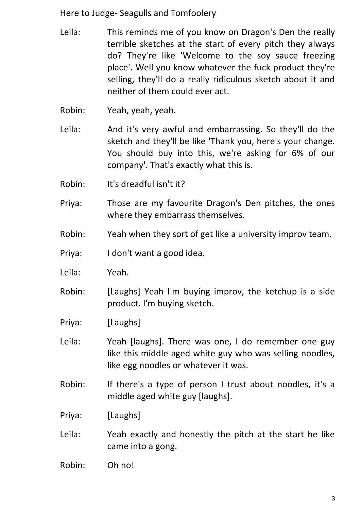- Leila: This reminds me of you know on Dragon's Den the really terrible sketches at the start of every pitch they always do? They're like 'Welcome to the soy sauce freezing place'. Well you know whatever the fuck product they're selling, they'll do a really ridiculous sketch about it and neither of them could ever act.
- Robin: Yeah, yeah, yeah.
- Leila: And it's very awful and embarrassing. So they'll do the sketch and they'll be like 'Thank you, here's your change. You should buy into this, we're asking for 6% of our company'. That's exactly what this is.
- Robin: It's dreadful isn't it?
- Priya: Those are my favourite Dragon's Den pitches, the ones where they embarrass themselves.
- Robin: Yeah when they sort of get like a university improv team.
- Priya: I don't want a good idea.
- Leila: Yeah.
- Robin: [Laughs] Yeah I'm buying improv, the ketchup is a side product. I'm buying sketch.
- Priya: [Laughs]
- Leila: Yeah [laughs]. There was one, I do remember one guy like this middle aged white guy who was selling noodles, like egg noodles or whatever it was.
- Robin: If there's a type of person I trust about noodles, it's a middle aged white guy [laughs].
- Priya: [Laughs]
- Leila: Yeah exactly and honestly the pitch at the start he like came into a gong.
- Robin: Oh no!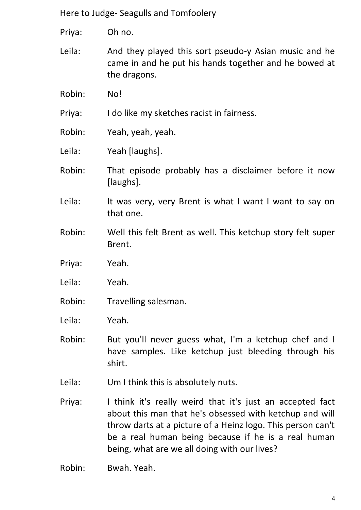Priya: Oh no.

Leila: And they played this sort pseudo-y Asian music and he came in and he put his hands together and he bowed at the dragons.

Robin: No!

Priya: I do like my sketches racist in fairness.

Robin: Yeah, yeah, yeah.

Leila: Yeah [laughs].

- Robin: That episode probably has a disclaimer before it now [laughs].
- Leila: It was very, very Brent is what I want I want to say on that one.
- Robin: Well this felt Brent as well. This ketchup story felt super Brent.
- Priya: Yeah.

Leila: Yeah.

Robin: Travelling salesman.

Leila: Yeah.

- Robin: But you'll never guess what, I'm a ketchup chef and I have samples. Like ketchup just bleeding through his shirt.
- Leila: Um I think this is absolutely nuts.
- Priya: I think it's really weird that it's just an accepted fact about this man that he's obsessed with ketchup and will throw darts at a picture of a Heinz logo. This person can't be a real human being because if he is a real human being, what are we all doing with our lives?

Robin: Bwah. Yeah.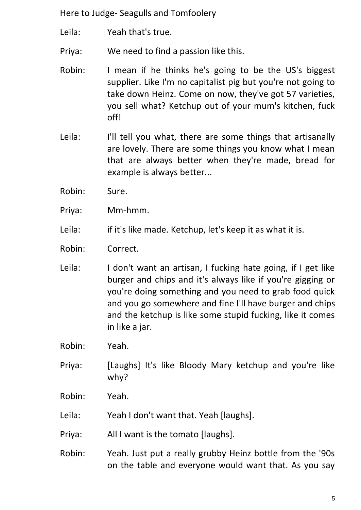Leila: Yeah that's true.

Priya: We need to find a passion like this.

- Robin: I mean if he thinks he's going to be the US's biggest supplier. Like I'm no capitalist pig but you're not going to take down Heinz. Come on now, they've got 57 varieties, you sell what? Ketchup out of your mum's kitchen, fuck off!
- Leila: I'll tell you what, there are some things that artisanally are lovely. There are some things you know what I mean that are always better when they're made, bread for example is always better...
- Robin: Sure.
- Priya: Mm-hmm.
- Leila: if it's like made. Ketchup, let's keep it as what it is.
- Robin: Correct.
- Leila: I don't want an artisan, I fucking hate going, if I get like burger and chips and it's always like if you're gigging or you're doing something and you need to grab food quick and you go somewhere and fine I'll have burger and chips and the ketchup is like some stupid fucking, like it comes in like a jar.

Robin: Yeah.

- Priya: [Laughs] It's like Bloody Mary ketchup and you're like why?
- Robin: Yeah.
- Leila: Yeah I don't want that. Yeah [laughs].
- Priya: All I want is the tomato [laughs].
- Robin: Yeah. Just put a really grubby Heinz bottle from the '90s on the table and everyone would want that. As you say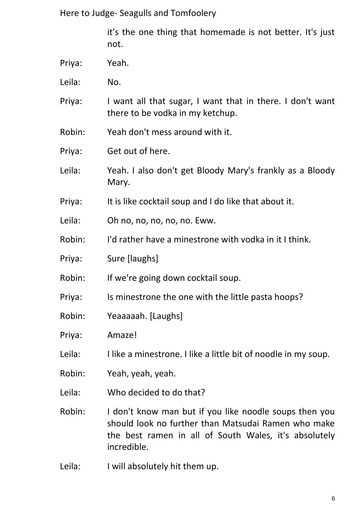it's the one thing that homemade is not better. It's just not.

- Priya: Yeah.
- Leila: No.
- Priya: I want all that sugar, I want that in there. I don't want there to be vodka in my ketchup.
- Robin: Yeah don't mess around with it.
- Priya: Get out of here.
- Leila: Yeah. I also don't get Bloody Mary's frankly as a Bloody Mary.
- Priya: It is like cocktail soup and I do like that about it.
- Leila: Oh no, no, no, no, no. Eww.
- Robin: I'd rather have a minestrone with vodka in it I think.
- Priya: Sure [laughs]
- Robin: If we're going down cocktail soup.
- Priya: Is minestrone the one with the little pasta hoops?
- Robin: Yeaaaaah. [Laughs]
- Priya: Amaze!
- Leila: I like a minestrone. I like a little bit of noodle in my soup.
- Robin: Yeah, yeah, yeah.
- Leila: Who decided to do that?
- Robin: I don't know man but if you like noodle soups then you should look no further than Matsudai Ramen who make the best ramen in all of South Wales, it's absolutely incredible.
- Leila: I will absolutely hit them up.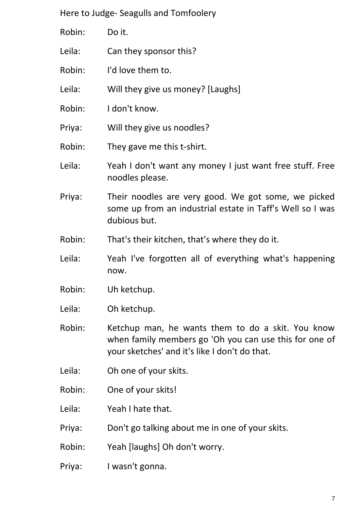- Robin: Do it.
- Leila: Can they sponsor this?
- Robin: I'd love them to.
- Leila: Will they give us money? [Laughs]
- Robin: I don't know.
- Priya: Will they give us noodles?
- Robin: They gave me this t-shirt.
- Leila: Yeah I don't want any money I just want free stuff. Free noodles please.
- Priya: Their noodles are very good. We got some, we picked some up from an industrial estate in Taff's Well so I was dubious but.
- Robin: That's their kitchen, that's where they do it.
- Leila: Yeah I've forgotten all of everything what's happening now.
- Robin: Uh ketchup.
- Leila: Oh ketchup.
- Robin: Ketchup man, he wants them to do a skit. You know when family members go 'Oh you can use this for one of your sketches' and it's like I don't do that.
- Leila: Oh one of your skits.
- Robin: One of your skits!
- Leila: Yeah I hate that.
- Priya: Don't go talking about me in one of your skits.
- Robin: Yeah [laughs] Oh don't worry.
- Priya: I wasn't gonna.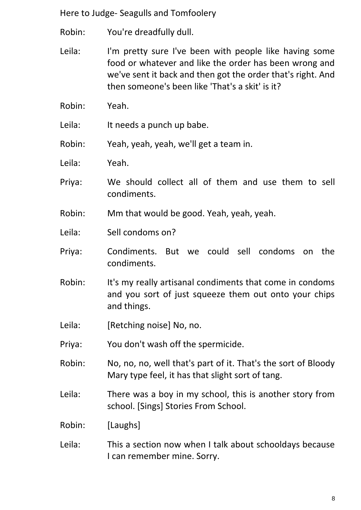- Robin: You're dreadfully dull.
- Leila: I'm pretty sure I've been with people like having some food or whatever and like the order has been wrong and we've sent it back and then got the order that's right. And then someone's been like 'That's a skit' is it?
- Robin: Yeah.
- Leila: It needs a punch up babe.
- Robin: Yeah, yeah, yeah, we'll get a team in.
- Leila: Yeah.
- Priya: We should collect all of them and use them to sell condiments.
- Robin: Mm that would be good. Yeah, yeah, yeah.
- Leila: Sell condoms on?
- Priya: Condiments. But we could sell condoms on the condiments.
- Robin: It's my really artisanal condiments that come in condoms and you sort of just squeeze them out onto your chips and things.
- Leila: [Retching noise] No, no.
- Priya: You don't wash off the spermicide.
- Robin: No, no, no, well that's part of it. That's the sort of Bloody Mary type feel, it has that slight sort of tang.
- Leila: There was a boy in my school, this is another story from school. [Sings] Stories From School.
- Robin: [Laughs]
- Leila: This a section now when I talk about schooldays because I can remember mine. Sorry.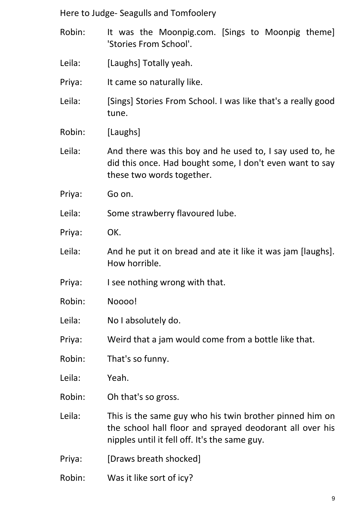- Robin: It was the Moonpig.com. [Sings to Moonpig theme] 'Stories From School'.
- Leila: [Laughs] Totally yeah.
- Priya: It came so naturally like.
- Leila: [Sings] Stories From School. I was like that's a really good tune.
- Robin: [Laughs]
- Leila: And there was this boy and he used to, I say used to, he did this once. Had bought some, I don't even want to say these two words together.
- Priya: Go on.
- Leila: Some strawberry flavoured lube.
- Priya: OK.
- Leila: And he put it on bread and ate it like it was jam [laughs]. How horrible.
- Priya: I see nothing wrong with that.
- Robin: Noooo!
- Leila: No I absolutely do.
- Priya: Weird that a jam would come from a bottle like that.
- Robin: That's so funny.
- Leila: Yeah.
- Robin: Oh that's so gross.
- Leila: This is the same guy who his twin brother pinned him on the school hall floor and sprayed deodorant all over his nipples until it fell off. It's the same guy.
- Priya: [Draws breath shocked]
- Robin: Was it like sort of icy?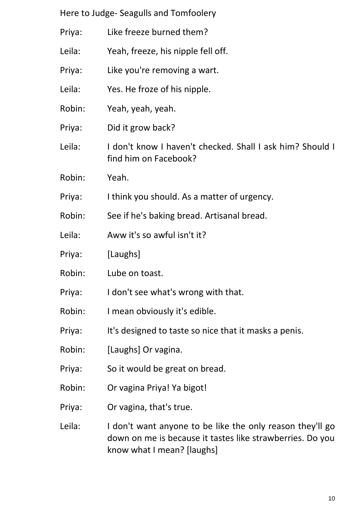| Here to Judge- Seagulls and Tomfoolery |  |  |
|----------------------------------------|--|--|
|----------------------------------------|--|--|

- Priya: Like freeze burned them?
- Leila: Yeah, freeze, his nipple fell off.
- Priya: Like you're removing a wart.
- Leila: Yes. He froze of his nipple.
- Robin: Yeah, yeah, yeah.
- Priya: Did it grow back?
- Leila: I don't know I haven't checked. Shall I ask him? Should I find him on Facebook?
- Robin: Yeah.
- Priya: I think you should. As a matter of urgency.
- Robin: See if he's baking bread. Artisanal bread.
- Leila: Aww it's so awful isn't it?
- Priya: [Laughs]
- Robin: Lube on toast.
- Priya: I don't see what's wrong with that.
- Robin: I mean obviously it's edible.
- Priya: It's designed to taste so nice that it masks a penis.
- Robin: [Laughs] Or vagina.
- Priya: So it would be great on bread.
- Robin: Or vagina Priya! Ya bigot!
- Priya: Or vagina, that's true.
- Leila: I don't want anyone to be like the only reason they'll go down on me is because it tastes like strawberries. Do you know what I mean? [laughs]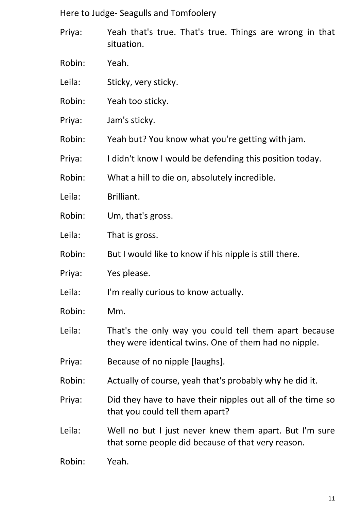- Priya: Yeah that's true. That's true. Things are wrong in that situation.
- Robin: Yeah.
- Leila: Sticky, very sticky.
- Robin: Yeah too sticky.
- Priya: Jam's sticky.
- Robin: Yeah but? You know what you're getting with jam.
- Priya: I didn't know I would be defending this position today.
- Robin: What a hill to die on, absolutely incredible.
- Leila: Brilliant.
- Robin: Um, that's gross.
- Leila: That is gross.
- Robin: But I would like to know if his nipple is still there.
- Priya: Yes please.
- Leila: I'm really curious to know actually.
- Robin: Mm.
- Leila: That's the only way you could tell them apart because they were identical twins. One of them had no nipple.
- Priya: Because of no nipple [laughs].
- Robin: Actually of course, yeah that's probably why he did it.
- Priya: Did they have to have their nipples out all of the time so that you could tell them apart?
- Leila: Well no but I just never knew them apart. But I'm sure that some people did because of that very reason.
- Robin: Yeah.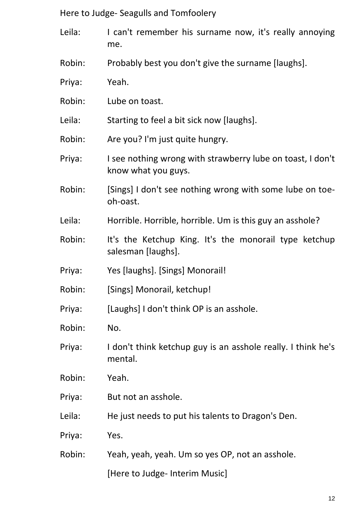- Leila: I can't remember his surname now, it's really annoying me.
- Robin: Probably best you don't give the surname [laughs].
- Priya: Yeah.
- Robin: Lube on toast.
- Leila: Starting to feel a bit sick now [laughs].
- Robin: Are you? I'm just quite hungry.
- Priya: I see nothing wrong with strawberry lube on toast, I don't know what you guys.
- Robin: [Sings] I don't see nothing wrong with some lube on toeoh-oast.
- Leila: Horrible. Horrible, horrible. Um is this guy an asshole?
- Robin: It's the Ketchup King. It's the monorail type ketchup salesman [laughs].
- Priya: Yes [laughs]. [Sings] Monorail!
- Robin: [Sings] Monorail, ketchup!
- Priya: [Laughs] I don't think OP is an asshole.
- Robin: No.
- Priya: I don't think ketchup guy is an asshole really. I think he's mental.
- Robin: Yeah.
- Priya: But not an asshole.
- Leila: He just needs to put his talents to Dragon's Den.
- Priya: Yes.
- Robin: Yeah, yeah, yeah. Um so yes OP, not an asshole.

[Here to Judge- Interim Music]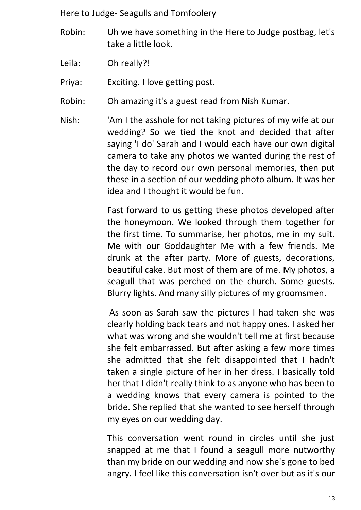- Robin: Uh we have something in the Here to Judge postbag, let's take a little look.
- Leila: Oh really?!

Priya: Exciting. I love getting post.

- Robin: Oh amazing it's a guest read from Nish Kumar.
- Nish: 'Am I the asshole for not taking pictures of my wife at our wedding? So we tied the knot and decided that after saying 'I do' Sarah and I would each have our own digital camera to take any photos we wanted during the rest of the day to record our own personal memories, then put these in a section of our wedding photo album. It was her idea and I thought it would be fun.

Fast forward to us getting these photos developed after the honeymoon. We looked through them together for the first time. To summarise, her photos, me in my suit. Me with our Goddaughter Me with a few friends. Me drunk at the after party. More of guests, decorations, beautiful cake. But most of them are of me. My photos, a seagull that was perched on the church. Some guests. Blurry lights. And many silly pictures of my groomsmen.

As soon as Sarah saw the pictures I had taken she was clearly holding back tears and not happy ones. I asked her what was wrong and she wouldn't tell me at first because she felt embarrassed. But after asking a few more times she admitted that she felt disappointed that I hadn't taken a single picture of her in her dress. I basically told her that I didn't really think to as anyone who has been to a wedding knows that every camera is pointed to the bride. She replied that she wanted to see herself through my eyes on our wedding day.

This conversation went round in circles until she just snapped at me that I found a seagull more nutworthy than my bride on our wedding and now she's gone to bed angry. I feel like this conversation isn't over but as it's our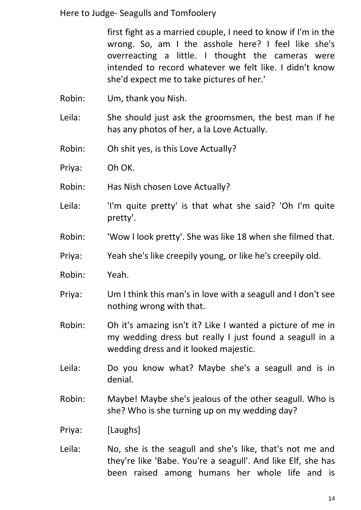first fight as a married couple, I need to know if I'm in the wrong. So, am I the asshole here? I feel like she's overreacting a little. I thought the cameras were intended to record whatever we felt like. I didn't know she'd expect me to take pictures of her.'

- Robin: Um, thank you Nish.
- Leila: She should just ask the groomsmen, the best man if he has any photos of her, a la Love Actually.
- Robin: Oh shit yes, is this Love Actually?
- Priya: Oh OK.
- Robin: Has Nish chosen Love Actually?
- Leila: 'I'm quite pretty' is that what she said? 'Oh I'm quite pretty'.
- Robin: 'Wow I look pretty'. She was like 18 when she filmed that.
- Priya: Yeah she's like creepily young, or like he's creepily old.
- Robin: Yeah.
- Priya: Um I think this man's in love with a seagull and I don't see nothing wrong with that.
- Robin: Oh it's amazing isn't it? Like I wanted a picture of me in my wedding dress but really I just found a seagull in a wedding dress and it looked majestic.
- Leila: Do you know what? Maybe she's a seagull and is in denial.
- Robin: Maybe! Maybe she's jealous of the other seagull. Who is she? Who is she turning up on my wedding day?
- Priya: [Laughs]
- Leila: No, she is the seagull and she's like, that's not me and they're like 'Babe. You're a seagull'. And like Elf, she has been raised among humans her whole life and is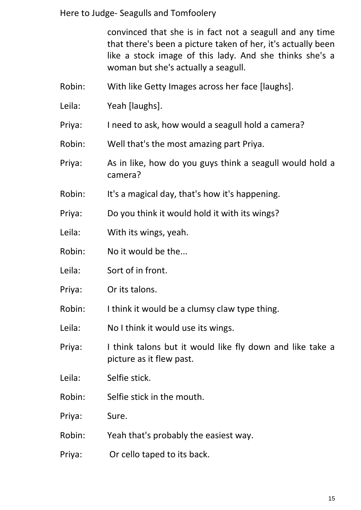convinced that she is in fact not a seagull and any time that there's been a picture taken of her, it's actually been like a stock image of this lady. And she thinks she's a woman but she's actually a seagull.

- Robin: With like Getty Images across her face [laughs].
- Leila: Yeah [laughs].
- Priya: I need to ask, how would a seagull hold a camera?
- Robin: Well that's the most amazing part Priya.
- Priya: As in like, how do you guys think a seagull would hold a camera?
- Robin: It's a magical day, that's how it's happening.
- Priya: Do you think it would hold it with its wings?
- Leila: With its wings, yeah.
- Robin: No it would be the...
- Leila: Sort of in front.
- Priya: Or its talons.
- Robin: I think it would be a clumsy claw type thing.
- Leila: No I think it would use its wings.
- Priya: I think talons but it would like fly down and like take a picture as it flew past.
- Leila: Selfie stick.
- Robin: Selfie stick in the mouth.
- Priya: Sure.
- Robin: Yeah that's probably the easiest way.
- Priya: Or cello taped to its back.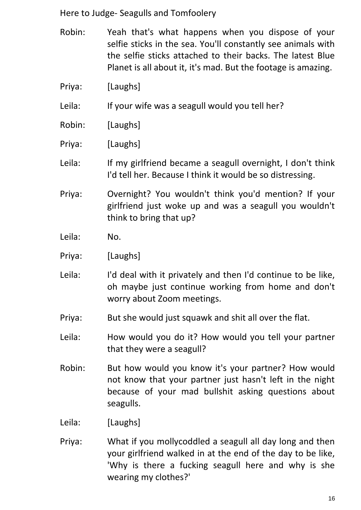- Robin: Yeah that's what happens when you dispose of your selfie sticks in the sea. You'll constantly see animals with the selfie sticks attached to their backs. The latest Blue Planet is all about it, it's mad. But the footage is amazing.
- Priya: [Laughs]

Leila: If your wife was a seagull would you tell her?

- Robin: [Laughs]
- Priya: [Laughs]
- Leila: If my girlfriend became a seagull overnight, I don't think I'd tell her. Because I think it would be so distressing.
- Priya: Overnight? You wouldn't think you'd mention? If your girlfriend just woke up and was a seagull you wouldn't think to bring that up?
- Leila: No.
- Priya: [Laughs]
- Leila: I'd deal with it privately and then I'd continue to be like, oh maybe just continue working from home and don't worry about Zoom meetings.
- Priya: But she would just squawk and shit all over the flat.
- Leila: How would you do it? How would you tell your partner that they were a seagull?
- Robin: But how would you know it's your partner? How would not know that your partner just hasn't left in the night because of your mad bullshit asking questions about seagulls.
- Leila: [Laughs]
- Priya: What if you mollycoddled a seagull all day long and then your girlfriend walked in at the end of the day to be like, 'Why is there a fucking seagull here and why is she wearing my clothes?'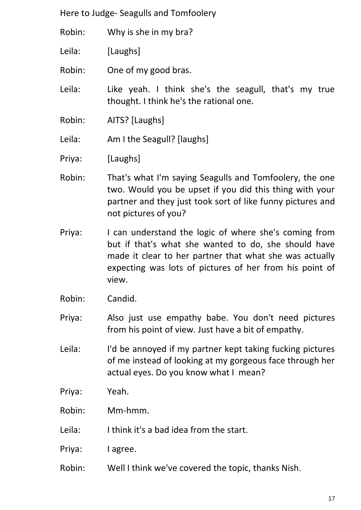- Robin: Why is she in my bra?
- Leila: [Laughs]
- Robin: One of my good bras.
- Leila: Like yeah. I think she's the seagull, that's my true thought. I think he's the rational one.
- Robin: AITS? [Laughs]
- Leila: Am I the Seagull? [laughs]
- Priya: [Laughs]
- Robin: That's what I'm saying Seagulls and Tomfoolery, the one two. Would you be upset if you did this thing with your partner and they just took sort of like funny pictures and not pictures of you?
- Priya: I can understand the logic of where she's coming from but if that's what she wanted to do, she should have made it clear to her partner that what she was actually expecting was lots of pictures of her from his point of view.
- Robin: Candid.
- Priya: Also just use empathy babe. You don't need pictures from his point of view. Just have a bit of empathy.
- Leila: I'd be annoyed if my partner kept taking fucking pictures of me instead of looking at my gorgeous face through her actual eyes. Do you know what I mean?
- Priya: Yeah.
- Robin: Mm-hmm.
- Leila: I think it's a bad idea from the start.
- Priya: I agree.
- Robin: Well I think we've covered the topic, thanks Nish.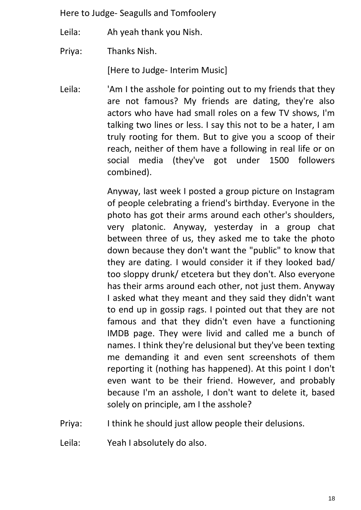Leila: Ah yeah thank you Nish.

Priya: Thanks Nish.

[Here to Judge- Interim Music]

Leila: <sup>'</sup>Am I the asshole for pointing out to my friends that they are not famous? My friends are dating, they're also actors who have had small roles on a few TV shows, I'm talking two lines or less. I say this not to be a hater, I am truly rooting for them. But to give you a scoop of their reach, neither of them have a following in real life or on social media (they've got under 1500 followers combined).

> Anyway, last week I posted a group picture on Instagram of people celebrating a friend's birthday. Everyone in the photo has got their arms around each other's shoulders, very platonic. Anyway, yesterday in a group chat between three of us, they asked me to take the photo down because they don't want the "public" to know that they are dating. I would consider it if they looked bad/ too sloppy drunk/ etcetera but they don't. Also everyone has their arms around each other, not just them. Anyway I asked what they meant and they said they didn't want to end up in gossip rags. I pointed out that they are not famous and that they didn't even have a functioning IMDB page. They were livid and called me a bunch of names. I think they're delusional but they've been texting me demanding it and even sent screenshots of them reporting it (nothing has happened). At this point I don't even want to be their friend. However, and probably because I'm an asshole, I don't want to delete it, based solely on principle, am I the asshole?

- Priya: I think he should just allow people their delusions.
- Leila: Yeah I absolutely do also.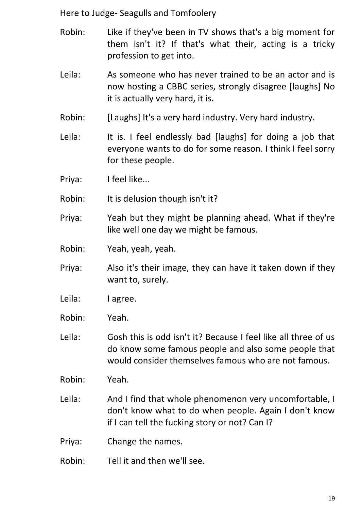- Robin: Like if they've been in TV shows that's a big moment for them isn't it? If that's what their, acting is a tricky profession to get into.
- Leila: As someone who has never trained to be an actor and is now hosting a CBBC series, strongly disagree [laughs] No it is actually very hard, it is.
- Robin: [Laughs] It's a very hard industry. Very hard industry.
- Leila: It is. I feel endlessly bad [laughs] for doing a job that everyone wants to do for some reason. I think I feel sorry for these people.
- Priya: I feel like...
- Robin: It is delusion though isn't it?
- Priya: Yeah but they might be planning ahead. What if they're like well one day we might be famous.
- Robin: Yeah, yeah, yeah.
- Priya: Also it's their image, they can have it taken down if they want to, surely.
- Leila: lagree.
- Robin: Yeah.
- Leila: Gosh this is odd isn't it? Because I feel like all three of us do know some famous people and also some people that would consider themselves famous who are not famous.
- Robin: Yeah.
- Leila: And I find that whole phenomenon very uncomfortable, I don't know what to do when people. Again I don't know if I can tell the fucking story or not? Can I?
- Priya: Change the names.
- Robin: Tell it and then we'll see.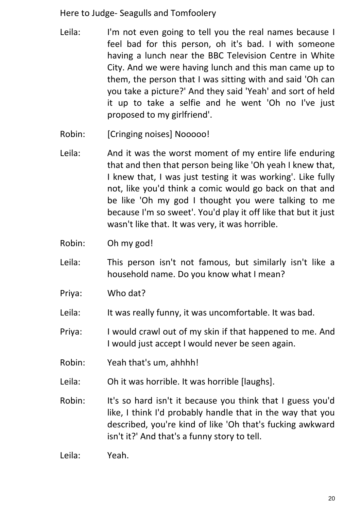- Leila: I'm not even going to tell you the real names because I feel bad for this person, oh it's bad. I with someone having a lunch near the BBC Television Centre in White City. And we were having lunch and this man came up to them, the person that I was sitting with and said 'Oh can you take a picture?' And they said 'Yeah' and sort of held it up to take a selfie and he went 'Oh no I've just proposed to my girlfriend'.
- Robin: [Cringing noises] Nooooo!
- Leila: And it was the worst moment of my entire life enduring that and then that person being like 'Oh yeah I knew that, I knew that, I was just testing it was working'. Like fully not, like you'd think a comic would go back on that and be like 'Oh my god I thought you were talking to me because I'm so sweet'. You'd play it off like that but it just wasn't like that. It was very, it was horrible.
- Robin: Oh my god!
- Leila: This person isn't not famous, but similarly isn't like a household name. Do you know what I mean?
- Priya: Who dat?
- Leila: It was really funny, it was uncomfortable. It was bad.
- Priya: I would crawl out of my skin if that happened to me. And I would just accept I would never be seen again.
- Robin: Yeah that's um, ahhhh!
- Leila: Oh it was horrible. It was horrible [laughs].
- Robin: It's so hard isn't it because you think that I guess you'd like, I think I'd probably handle that in the way that you described, you're kind of like 'Oh that's fucking awkward isn't it?' And that's a funny story to tell.

Leila: Yeah.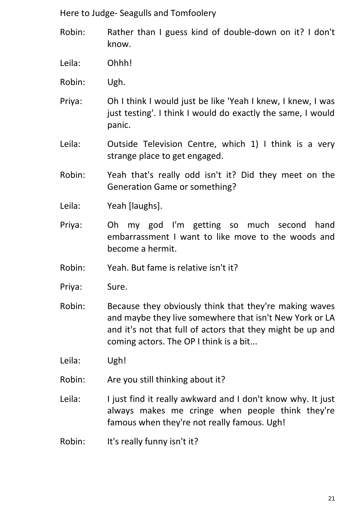- Robin: Rather than I guess kind of double-down on it? I don't know.
- Leila: Ohhh!
- Robin: Ugh.
- Priya: Oh I think I would just be like 'Yeah I knew, I knew, I was just testing'. I think I would do exactly the same, I would panic.
- Leila: Outside Television Centre, which 1) I think is a very strange place to get engaged.
- Robin: Yeah that's really odd isn't it? Did they meet on the Generation Game or something?
- Leila: Yeah [laughs].
- Priya: Oh my god I'm getting so much second hand embarrassment I want to like move to the woods and become a hermit.
- Robin: Yeah. But fame is relative isn't it?
- Priya: Sure.
- Robin: Because they obviously think that they're making waves and maybe they live somewhere that isn't New York or LA and it's not that full of actors that they might be up and coming actors. The OP I think is a bit...

Leila: Ugh!

- Robin: Are you still thinking about it?
- Leila: I just find it really awkward and I don't know why. It just always makes me cringe when people think they're famous when they're not really famous. Ugh!
- Robin: It's really funny isn't it?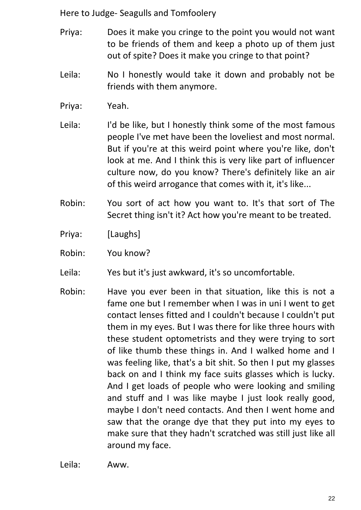- Priya: Does it make you cringe to the point you would not want to be friends of them and keep a photo up of them just out of spite? Does it make you cringe to that point?
- Leila: No I honestly would take it down and probably not be friends with them anymore.
- Priya: Yeah.
- Leila: I'd be like, but I honestly think some of the most famous people I've met have been the loveliest and most normal. But if you're at this weird point where you're like, don't look at me. And I think this is very like part of influencer culture now, do you know? There's definitely like an air of this weird arrogance that comes with it, it's like...
- Robin: You sort of act how you want to. It's that sort of The Secret thing isn't it? Act how you're meant to be treated.
- Priya: [Laughs]
- Robin: You know?
- Leila: Yes but it's just awkward, it's so uncomfortable.
- Robin: Have you ever been in that situation, like this is not a fame one but I remember when I was in uni I went to get contact lenses fitted and I couldn't because I couldn't put them in my eyes. But I was there for like three hours with these student optometrists and they were trying to sort of like thumb these things in. And I walked home and I was feeling like, that's a bit shit. So then I put my glasses back on and I think my face suits glasses which is lucky. And I get loads of people who were looking and smiling and stuff and I was like maybe I just look really good, maybe I don't need contacts. And then I went home and saw that the orange dye that they put into my eyes to make sure that they hadn't scratched was still just like all around my face.

Leila: Aww.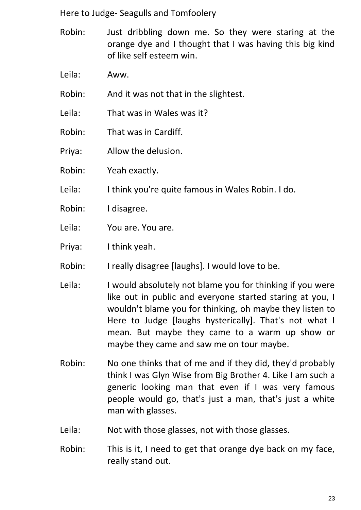- Robin: Just dribbling down me. So they were staring at the orange dye and I thought that I was having this big kind of like self esteem win.
- Leila: Aww.

Robin: And it was not that in the slightest.

- Leila: That was in Wales was it?
- Robin: That was in Cardiff.
- Priya: Allow the delusion.
- Robin: Yeah exactly.
- Leila: I think you're quite famous in Wales Robin. I do.
- Robin: I disagree.
- Leila: You are. You are.
- Priya: I think yeah.
- Robin: I really disagree [laughs]. I would love to be.
- Leila: I would absolutely not blame you for thinking if you were like out in public and everyone started staring at you, I wouldn't blame you for thinking, oh maybe they listen to Here to Judge [laughs hysterically]. That's not what I mean. But maybe they came to a warm up show or maybe they came and saw me on tour maybe.
- Robin: No one thinks that of me and if they did, they'd probably think I was Glyn Wise from Big Brother 4. Like I am such a generic looking man that even if I was very famous people would go, that's just a man, that's just a white man with glasses.
- Leila: Not with those glasses, not with those glasses.
- Robin: This is it, I need to get that orange dye back on my face, really stand out.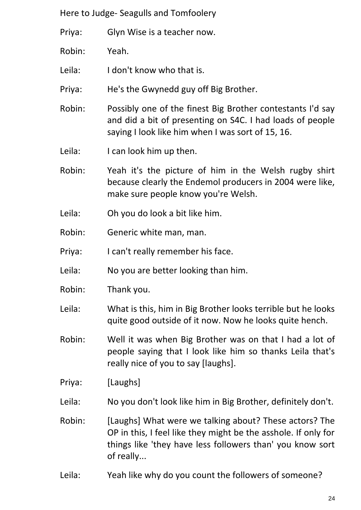Priya: Glyn Wise is a teacher now.

Robin: Yeah.

Leila: I don't know who that is.

Priya: He's the Gwynedd guy off Big Brother.

Robin: Possibly one of the finest Big Brother contestants I'd say and did a bit of presenting on S4C. I had loads of people saying I look like him when I was sort of 15, 16.

Leila: I can look him up then.

Robin: Yeah it's the picture of him in the Welsh rugby shirt because clearly the Endemol producers in 2004 were like, make sure people know you're Welsh.

Leila: Oh you do look a bit like him.

Robin: Generic white man, man.

Priya: I can't really remember his face.

Leila: No you are better looking than him.

Robin: Thank you.

Leila: What is this, him in Big Brother looks terrible but he looks quite good outside of it now. Now he looks quite hench.

Robin: Well it was when Big Brother was on that I had a lot of people saying that I look like him so thanks Leila that's really nice of you to say [laughs].

Priya: [Laughs]

Leila: No you don't look like him in Big Brother, definitely don't.

Robin: [Laughs] What were we talking about? These actors? The OP in this, I feel like they might be the asshole. If only for things like 'they have less followers than' you know sort of really...

Leila: Yeah like why do you count the followers of someone?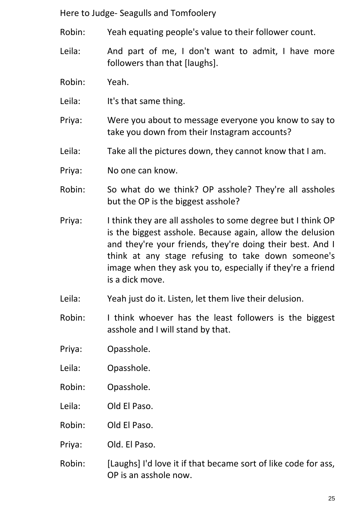- Robin: Yeah equating people's value to their follower count.
- Leila: And part of me, I don't want to admit, I have more followers than that *[laughs]*.
- Robin: Yeah.
- Leila: It's that same thing.
- Priya: Were you about to message everyone you know to say to take you down from their Instagram accounts?
- Leila: Take all the pictures down, they cannot know that I am.
- Priya: No one can know.
- Robin: So what do we think? OP asshole? They're all assholes but the OP is the biggest asshole?
- Priya: I think they are all assholes to some degree but I think OP is the biggest asshole. Because again, allow the delusion and they're your friends, they're doing their best. And I think at any stage refusing to take down someone's image when they ask you to, especially if they're a friend is a dick move.
- Leila: Yeah just do it. Listen, let them live their delusion.
- Robin: I think whoever has the least followers is the biggest asshole and I will stand by that.
- Priya: Opasshole.
- Leila: Opasshole.
- Robin: Opasshole.
- Leila: Old El Paso.
- Robin: Old El Paso.
- Priya: Old. El Paso.
- Robin: [Laughs] I'd love it if that became sort of like code for ass, OP is an asshole now.